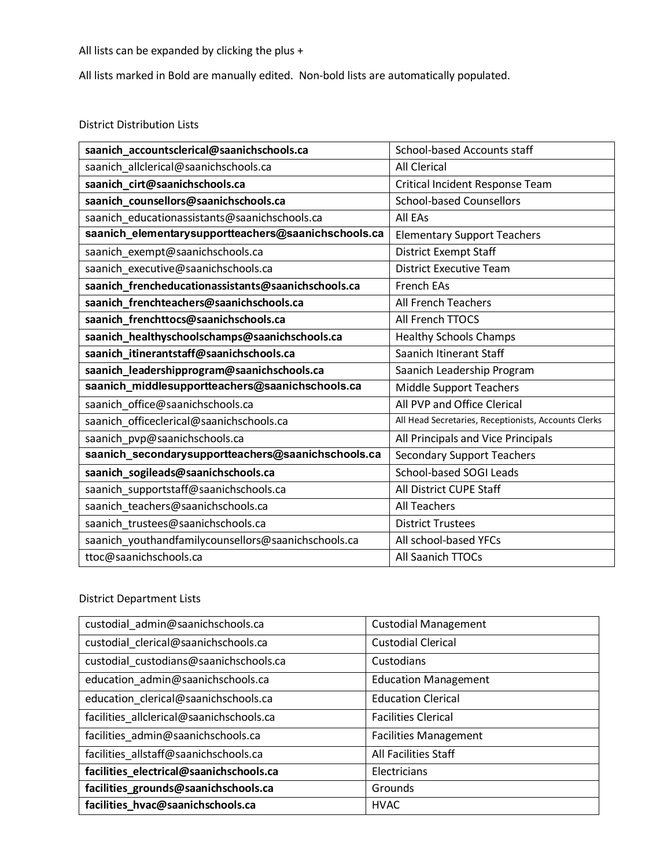## All lists can be expanded by clicking the plus +

All lists marked in Bold are manually edited. Non-bold lists are automatically populated.

## District Distribution Lists

| saanich_accountsclerical@saanichschools.ca          | School-based Accounts staff                          |
|-----------------------------------------------------|------------------------------------------------------|
| saanich_allclerical@saanichschools.ca               | <b>All Clerical</b>                                  |
| saanich_cirt@saanichschools.ca                      | Critical Incident Response Team                      |
| saanich_counsellors@saanichschools.ca               | <b>School-based Counsellors</b>                      |
| saanich_educationassistants@saanichschools.ca       | All EAs                                              |
| saanich_elementarysupportteachers@saanichschools.ca | <b>Elementary Support Teachers</b>                   |
| saanich_exempt@saanichschools.ca                    | <b>District Exempt Staff</b>                         |
| saanich_executive@saanichschools.ca                 | <b>District Executive Team</b>                       |
| saanich_frencheducationassistants@saanichschools.ca | <b>French EAs</b>                                    |
| saanich_frenchteachers@saanichschools.ca            | All French Teachers                                  |
| saanich_frenchttocs@saanichschools.ca               | All French TTOCS                                     |
| saanich_healthyschoolschamps@saanichschools.ca      | <b>Healthy Schools Champs</b>                        |
| saanich_itinerantstaff@saanichschools.ca            | Saanich Itinerant Staff                              |
| saanich_leadershipprogram@saanichschools.ca         | Saanich Leadership Program                           |
| saanich_middlesupportteachers@saanichschools.ca     | Middle Support Teachers                              |
| saanich_office@saanichschools.ca                    | All PVP and Office Clerical                          |
| saanich_officeclerical@saanichschools.ca            | All Head Secretaries, Receptionists, Accounts Clerks |
| saanich_pvp@saanichschools.ca                       | All Principals and Vice Principals                   |
| saanich_secondarysupportteachers@saanichschools.ca  | <b>Secondary Support Teachers</b>                    |
| saanich_sogileads@saanichschools.ca                 | School-based SOGI Leads                              |
| saanich_supportstaff@saanichschools.ca              | All District CUPE Staff                              |
| saanich_teachers@saanichschools.ca                  | <b>All Teachers</b>                                  |
| saanich_trustees@saanichschools.ca                  | <b>District Trustees</b>                             |
| saanich_youthandfamilycounsellors@saanichschools.ca | All school-based YFCs                                |
| ttoc@saanichschools.ca                              | All Saanich TTOCs                                    |

## District Department Lists

| custodial_admin@saanichschools.ca        | <b>Custodial Management</b>  |
|------------------------------------------|------------------------------|
| custodial_clerical@saanichschools.ca     | <b>Custodial Clerical</b>    |
| custodial custodians@saanichschools.ca   | Custodians                   |
| education_admin@saanichschools.ca        | <b>Education Management</b>  |
| education_clerical@saanichschools.ca     | <b>Education Clerical</b>    |
| facilities_allclerical@saanichschools.ca | <b>Facilities Clerical</b>   |
| facilities_admin@saanichschools.ca       | <b>Facilities Management</b> |
| facilities_allstaff@saanichschools.ca    | All Facilities Staff         |
| facilities_electrical@saanichschools.ca  | Electricians                 |
| facilities_grounds@saanichschools.ca     | Grounds                      |
| facilities_hvac@saanichschools.ca        | <b>HVAC</b>                  |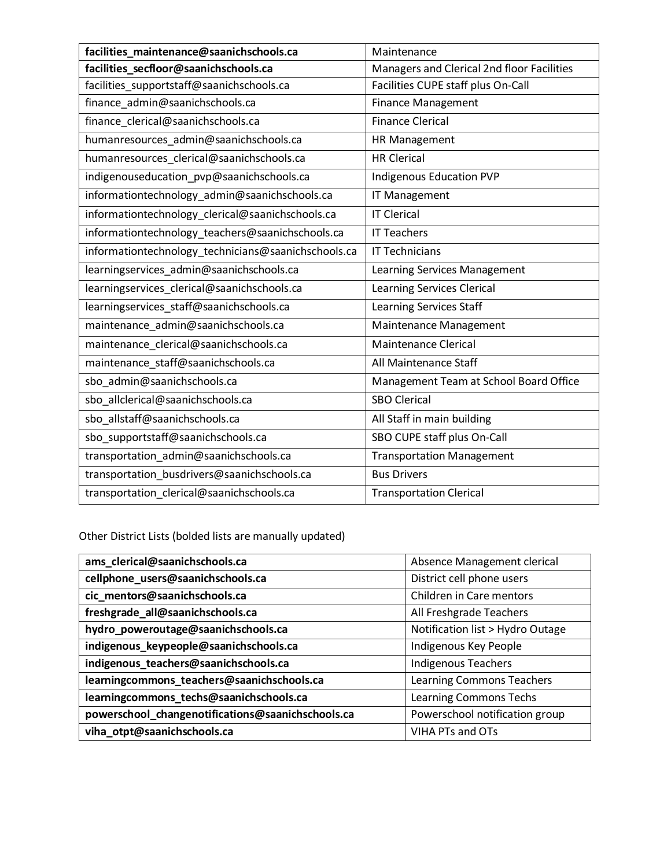| facilities_maintenance@saanichschools.ca            | Maintenance                                |  |
|-----------------------------------------------------|--------------------------------------------|--|
| facilities_secfloor@saanichschools.ca               | Managers and Clerical 2nd floor Facilities |  |
| facilities_supportstaff@saanichschools.ca           | Facilities CUPE staff plus On-Call         |  |
| finance_admin@saanichschools.ca                     | <b>Finance Management</b>                  |  |
| finance_clerical@saanichschools.ca                  | <b>Finance Clerical</b>                    |  |
| humanresources_admin@saanichschools.ca              | HR Management                              |  |
| humanresources_clerical@saanichschools.ca           | <b>HR Clerical</b>                         |  |
| indigenouseducation_pvp@saanichschools.ca           | <b>Indigenous Education PVP</b>            |  |
| informationtechnology_admin@saanichschools.ca       | IT Management                              |  |
| informationtechnology_clerical@saanichschools.ca    | <b>IT Clerical</b>                         |  |
| informationtechnology_teachers@saanichschools.ca    | <b>IT Teachers</b>                         |  |
| informationtechnology_technicians@saanichschools.ca | <b>IT Technicians</b>                      |  |
| learningservices_admin@saanichschools.ca            | Learning Services Management               |  |
| learningservices_clerical@saanichschools.ca         | <b>Learning Services Clerical</b>          |  |
| learningservices_staff@saanichschools.ca            | <b>Learning Services Staff</b>             |  |
| maintenance_admin@saanichschools.ca                 | Maintenance Management                     |  |
| maintenance_clerical@saanichschools.ca              | <b>Maintenance Clerical</b>                |  |
| maintenance_staff@saanichschools.ca                 | All Maintenance Staff                      |  |
| sbo_admin@saanichschools.ca                         | Management Team at School Board Office     |  |
| sbo_allclerical@saanichschools.ca                   | <b>SBO Clerical</b>                        |  |
| sbo_allstaff@saanichschools.ca                      | All Staff in main building                 |  |
| sbo_supportstaff@saanichschools.ca                  | SBO CUPE staff plus On-Call                |  |
| transportation_admin@saanichschools.ca              | <b>Transportation Management</b>           |  |
| transportation_busdrivers@saanichschools.ca         | <b>Bus Drivers</b>                         |  |
| transportation_clerical@saanichschools.ca           | <b>Transportation Clerical</b>             |  |

Other District Lists (bolded lists are manually updated)

| ams_clerical@saanichschools.ca                    | Absence Management clerical      |
|---------------------------------------------------|----------------------------------|
| cellphone_users@saanichschools.ca                 | District cell phone users        |
| cic_mentors@saanichschools.ca                     | Children in Care mentors         |
| freshgrade_all@saanichschools.ca                  | All Freshgrade Teachers          |
| hydro_poweroutage@saanichschools.ca               | Notification list > Hydro Outage |
| indigenous_keypeople@saanichschools.ca            | Indigenous Key People            |
| indigenous_teachers@saanichschools.ca             | <b>Indigenous Teachers</b>       |
| learningcommons_teachers@saanichschools.ca        | Learning Commons Teachers        |
| learningcommons_techs@saanichschools.ca           | Learning Commons Techs           |
| powerschool_changenotifications@saanichschools.ca | Powerschool notification group   |
| viha_otpt@saanichschools.ca                       | VIHA PTs and OTs                 |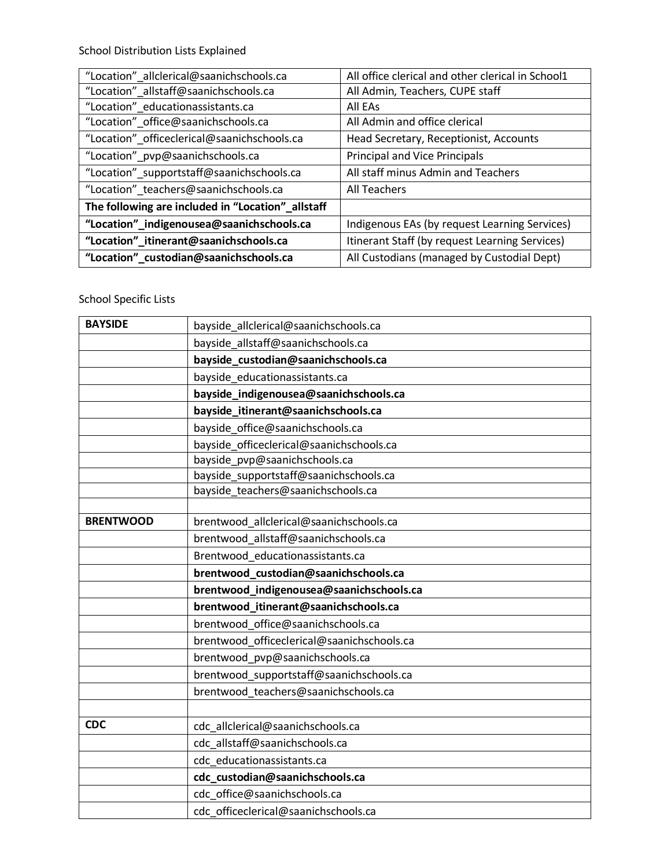School Distribution Lists Explained

| "Location"_allclerical@saanichschools.ca          | All office clerical and other clerical in School1 |
|---------------------------------------------------|---------------------------------------------------|
| "Location"_allstaff@saanichschools.ca             | All Admin, Teachers, CUPE staff                   |
| "Location" educationassistants.ca                 | All EAs                                           |
| "Location"_office@saanichschools.ca               | All Admin and office clerical                     |
| "Location"_officeclerical@saanichschools.ca       | Head Secretary, Receptionist, Accounts            |
| "Location"_pvp@saanichschools.ca                  | <b>Principal and Vice Principals</b>              |
| "Location"_supportstaff@saanichschools.ca         | All staff minus Admin and Teachers                |
| "Location"_teachers@saanichschools.ca             | <b>All Teachers</b>                               |
| The following are included in "Location"_allstaff |                                                   |
| "Location"_indigenousea@saanichschools.ca         | Indigenous EAs (by request Learning Services)     |
| "Location"_itinerant@saanichschools.ca            | Itinerant Staff (by request Learning Services)    |
| "Location"_custodian@saanichschools.ca            | All Custodians (managed by Custodial Dept)        |
|                                                   |                                                   |

## School Specific Lists

| <b>BAYSIDE</b>   | bayside_allclerical@saanichschools.ca      |
|------------------|--------------------------------------------|
|                  | bayside_allstaff@saanichschools.ca         |
|                  | bayside_custodian@saanichschools.ca        |
|                  | bayside_educationassistants.ca             |
|                  | bayside_indigenousea@saanichschools.ca     |
|                  | bayside_itinerant@saanichschools.ca        |
|                  | bayside office@saanichschools.ca           |
|                  | bayside_officeclerical@saanichschools.ca   |
|                  | bayside_pvp@saanichschools.ca              |
|                  | bayside_supportstaff@saanichschools.ca     |
|                  | bayside_teachers@saanichschools.ca         |
|                  |                                            |
| <b>BRENTWOOD</b> | brentwood allclerical@saanichschools.ca    |
|                  | brentwood allstaff@saanichschools.ca       |
|                  | Brentwood educationassistants.ca           |
|                  | brentwood_custodian@saanichschools.ca      |
|                  | brentwood_indigenousea@saanichschools.ca   |
|                  | brentwood_itinerant@saanichschools.ca      |
|                  | brentwood_office@saanichschools.ca         |
|                  | brentwood officeclerical@saanichschools.ca |
|                  | brentwood_pvp@saanichschools.ca            |
|                  | brentwood_supportstaff@saanichschools.ca   |
|                  | brentwood_teachers@saanichschools.ca       |
|                  |                                            |
| <b>CDC</b>       | cdc allclerical@saanichschools.ca          |
|                  | cdc_allstaff@saanichschools.ca             |
|                  | cdc_educationassistants.ca                 |
|                  | cdc_custodian@saanichschools.ca            |
|                  | cdc_office@saanichschools.ca               |
|                  | cdc officeclerical@saanichschools.ca       |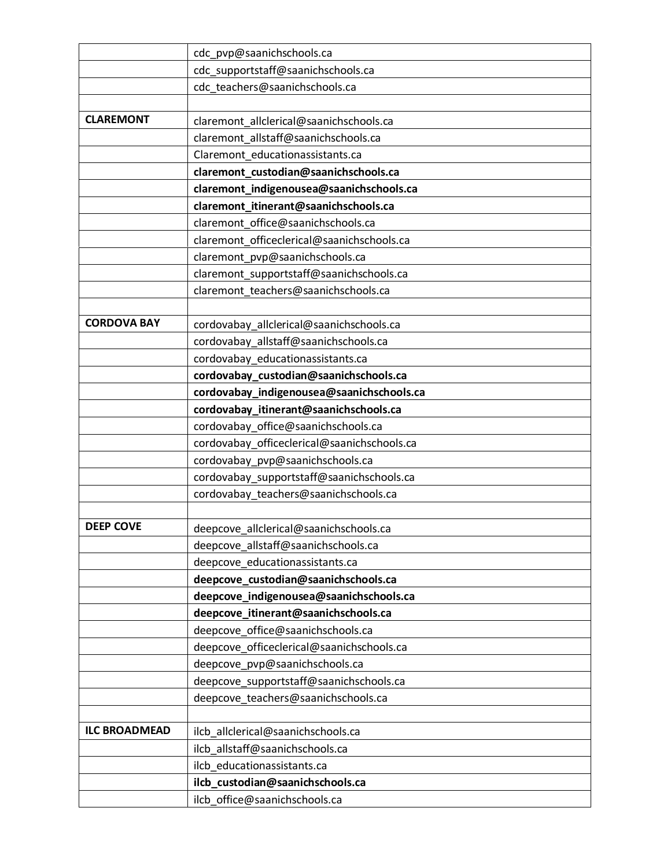|                      | cdc_pvp@saanichschools.ca                   |
|----------------------|---------------------------------------------|
|                      | cdc_supportstaff@saanichschools.ca          |
|                      | cdc_teachers@saanichschools.ca              |
|                      |                                             |
| <b>CLAREMONT</b>     | claremont_allclerical@saanichschools.ca     |
|                      | claremont_allstaff@saanichschools.ca        |
|                      | Claremont_educationassistants.ca            |
|                      | claremont_custodian@saanichschools.ca       |
|                      | claremont_indigenousea@saanichschools.ca    |
|                      | claremont_itinerant@saanichschools.ca       |
|                      | claremont_office@saanichschools.ca          |
|                      | claremont_officeclerical@saanichschools.ca  |
|                      | claremont_pvp@saanichschools.ca             |
|                      | claremont_supportstaff@saanichschools.ca    |
|                      | claremont_teachers@saanichschools.ca        |
|                      |                                             |
| <b>CORDOVA BAY</b>   | cordovabay_allclerical@saanichschools.ca    |
|                      | cordovabay_allstaff@saanichschools.ca       |
|                      | cordovabay_educationassistants.ca           |
|                      | cordovabay_custodian@saanichschools.ca      |
|                      | cordovabay_indigenousea@saanichschools.ca   |
|                      | cordovabay_itinerant@saanichschools.ca      |
|                      | cordovabay_office@saanichschools.ca         |
|                      | cordovabay_officeclerical@saanichschools.ca |
|                      | cordovabay_pvp@saanichschools.ca            |
|                      | cordovabay_supportstaff@saanichschools.ca   |
|                      | cordovabay_teachers@saanichschools.ca       |
|                      |                                             |
| <b>DEEP COVE</b>     | deepcove allclerical@saanichschools.ca      |
|                      | deepcove allstaff@saanichschools.ca         |
|                      | deepcove_educationassistants.ca             |
|                      | deepcove_custodian@saanichschools.ca        |
|                      | deepcove_indigenousea@saanichschools.ca     |
|                      | deepcove_itinerant@saanichschools.ca        |
|                      | deepcove office@saanichschools.ca           |
|                      | deepcove officeclerical@saanichschools.ca   |
|                      | deepcove_pvp@saanichschools.ca              |
|                      | deepcove_supportstaff@saanichschools.ca     |
|                      | deepcove_teachers@saanichschools.ca         |
|                      |                                             |
| <b>ILC BROADMEAD</b> | ilcb_allclerical@saanichschools.ca          |
|                      | ilcb_allstaff@saanichschools.ca             |
|                      | ilcb_educationassistants.ca                 |
|                      | ilcb_custodian@saanichschools.ca            |
|                      | ilcb_office@saanichschools.ca               |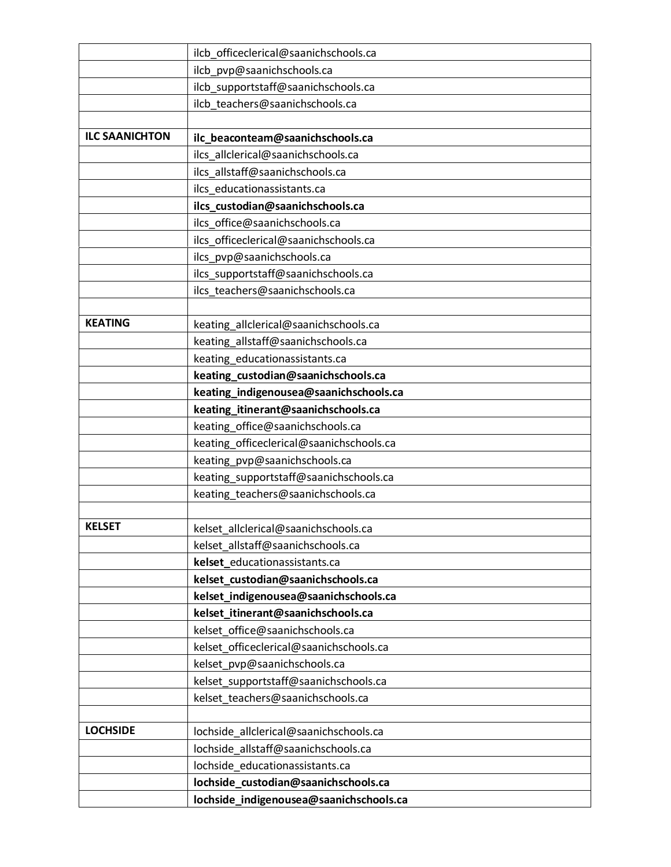|                       | ilcb_officeclerical@saanichschools.ca    |
|-----------------------|------------------------------------------|
|                       | ilcb_pvp@saanichschools.ca               |
|                       | ilcb_supportstaff@saanichschools.ca      |
|                       | ilcb teachers@saanichschools.ca          |
|                       |                                          |
| <b>ILC SAANICHTON</b> | ilc_beaconteam@saanichschools.ca         |
|                       | ilcs_allclerical@saanichschools.ca       |
|                       | ilcs allstaff@saanichschools.ca          |
|                       | ilcs_educationassistants.ca              |
|                       | ilcs_custodian@saanichschools.ca         |
|                       | ilcs_office@saanichschools.ca            |
|                       | ilcs_officeclerical@saanichschools.ca    |
|                       | ilcs_pvp@saanichschools.ca               |
|                       | ilcs_supportstaff@saanichschools.ca      |
|                       | ilcs_teachers@saanichschools.ca          |
|                       |                                          |
| <b>KEATING</b>        | keating_allclerical@saanichschools.ca    |
|                       | keating_allstaff@saanichschools.ca       |
|                       | keating_educationassistants.ca           |
|                       | keating_custodian@saanichschools.ca      |
|                       | keating_indigenousea@saanichschools.ca   |
|                       | keating_itinerant@saanichschools.ca      |
|                       | keating_office@saanichschools.ca         |
|                       | keating_officeclerical@saanichschools.ca |
|                       | keating_pvp@saanichschools.ca            |
|                       | keating_supportstaff@saanichschools.ca   |
|                       | keating_teachers@saanichschools.ca       |
|                       |                                          |
| <b>KELSET</b>         | kelset allclerical@saanichschools.ca     |
|                       | kelset allstaff@saanichschools.ca        |
|                       | kelset_educationassistants.ca            |
|                       | kelset_custodian@saanichschools.ca       |
|                       | kelset indigenousea@saanichschools.ca    |
|                       | kelset_itinerant@saanichschools.ca       |
|                       | kelset office@saanichschools.ca          |
|                       | kelset_officeclerical@saanichschools.ca  |
|                       | kelset_pvp@saanichschools.ca             |
|                       | kelset_supportstaff@saanichschools.ca    |
|                       | kelset_teachers@saanichschools.ca        |
| <b>LOCHSIDE</b>       |                                          |
|                       | lochside_allclerical@saanichschools.ca   |
|                       | lochside_allstaff@saanichschools.ca      |
|                       | lochside_educationassistants.ca          |
|                       | lochside_custodian@saanichschools.ca     |
|                       | lochside_indigenousea@saanichschools.ca  |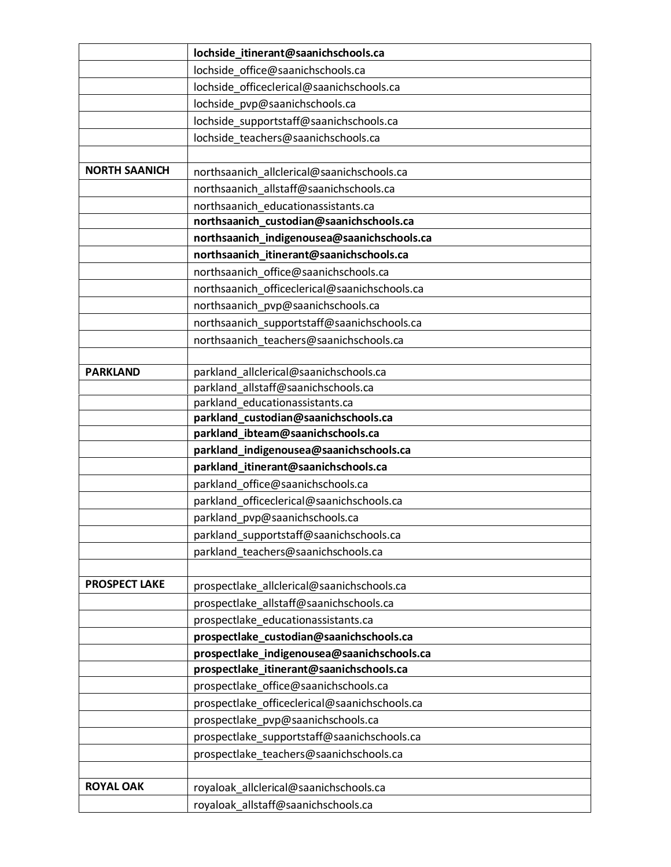|                      | lochside_itinerant@saanichschools.ca                                                    |
|----------------------|-----------------------------------------------------------------------------------------|
|                      | lochside office@saanichschools.ca                                                       |
|                      | lochside_officeclerical@saanichschools.ca                                               |
|                      | lochside pvp@saanichschools.ca                                                          |
|                      | lochside supportstaff@saanichschools.ca                                                 |
|                      | lochside_teachers@saanichschools.ca                                                     |
|                      |                                                                                         |
| <b>NORTH SAANICH</b> | northsaanich_allclerical@saanichschools.ca                                              |
|                      | northsaanich allstaff@saanichschools.ca                                                 |
|                      | northsaanich educationassistants.ca                                                     |
|                      | northsaanich_custodian@saanichschools.ca                                                |
|                      | northsaanich_indigenousea@saanichschools.ca                                             |
|                      | northsaanich_itinerant@saanichschools.ca                                                |
|                      | northsaanich office@saanichschools.ca                                                   |
|                      | northsaanich officeclerical@saanichschools.ca                                           |
|                      | northsaanich pvp@saanichschools.ca                                                      |
|                      | northsaanich_supportstaff@saanichschools.ca                                             |
|                      | northsaanich_teachers@saanichschools.ca                                                 |
|                      |                                                                                         |
| <b>PARKLAND</b>      | parkland allclerical@saanichschools.ca                                                  |
|                      | parkland_allstaff@saanichschools.ca                                                     |
|                      | parkland educationassistants.ca                                                         |
|                      | parkland_custodian@saanichschools.ca                                                    |
|                      |                                                                                         |
|                      | parkland_ibteam@saanichschools.ca                                                       |
|                      | parkland_indigenousea@saanichschools.ca                                                 |
|                      | parkland_itinerant@saanichschools.ca                                                    |
|                      | parkland_office@saanichschools.ca                                                       |
|                      | parkland officeclerical@saanichschools.ca                                               |
|                      | parkland pvp@saanichschools.ca                                                          |
|                      | parkland_supportstaff@saanichschools.ca                                                 |
|                      | parkland teachers@saanichschools.ca                                                     |
| <b>PROSPECT LAKE</b> |                                                                                         |
|                      | prospectlake_allclerical@saanichschools.ca                                              |
|                      | prospectlake_allstaff@saanichschools.ca                                                 |
|                      | prospectlake_educationassistants.ca                                                     |
|                      | prospectlake_custodian@saanichschools.ca                                                |
|                      | prospectlake_indigenousea@saanichschools.ca<br>prospectlake_itinerant@saanichschools.ca |
|                      | prospectlake_office@saanichschools.ca                                                   |
|                      | prospectlake_officeclerical@saanichschools.ca                                           |
|                      | prospectlake_pvp@saanichschools.ca                                                      |
|                      | prospectlake_supportstaff@saanichschools.ca                                             |
|                      | prospectlake teachers@saanichschools.ca                                                 |
|                      |                                                                                         |
| <b>ROYAL OAK</b>     | royaloak_allclerical@saanichschools.ca                                                  |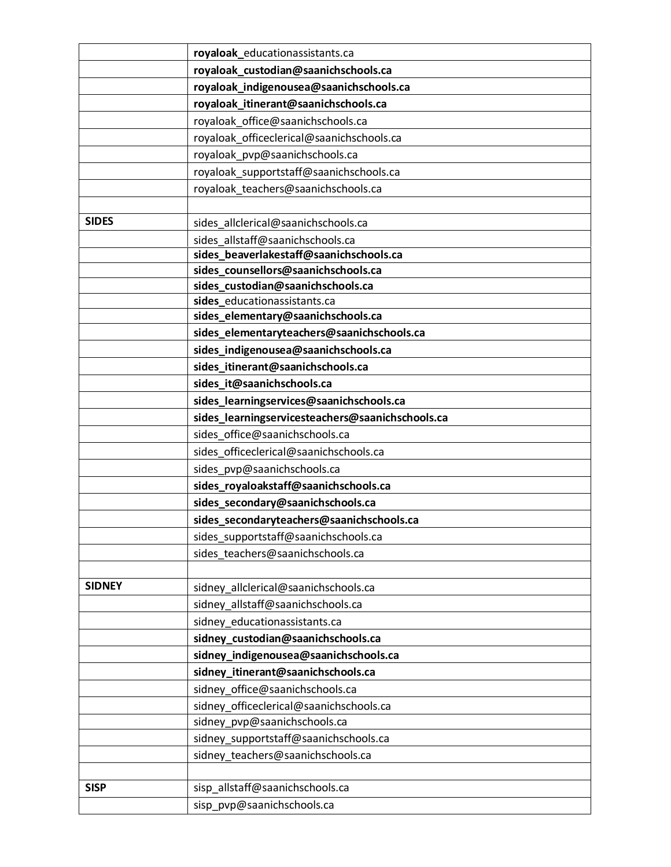|               | royaloak_educationassistants.ca                                                  |
|---------------|----------------------------------------------------------------------------------|
|               | royaloak_custodian@saanichschools.ca                                             |
|               | royaloak_indigenousea@saanichschools.ca                                          |
|               | royaloak_itinerant@saanichschools.ca                                             |
|               | royaloak_office@saanichschools.ca                                                |
|               | royaloak_officeclerical@saanichschools.ca                                        |
|               | royaloak_pvp@saanichschools.ca                                                   |
|               | royaloak supportstaff@saanichschools.ca                                          |
|               | royaloak teachers@saanichschools.ca                                              |
|               |                                                                                  |
| <b>SIDES</b>  | sides allclerical@saanichschools.ca                                              |
|               | sides allstaff@saanichschools.ca                                                 |
|               | sides_beaverlakestaff@saanichschools.ca                                          |
|               | sides_counsellors@saanichschools.ca                                              |
|               | sides_custodian@saanichschools.ca                                                |
|               | sides_educationassistants.ca                                                     |
|               | sides_elementary@saanichschools.ca<br>sides_elementaryteachers@saanichschools.ca |
|               | sides_indigenousea@saanichschools.ca                                             |
|               | sides_itinerant@saanichschools.ca                                                |
|               | sides_it@saanichschools.ca                                                       |
|               | sides_learningservices@saanichschools.ca                                         |
|               | sides_learningservicesteachers@saanichschools.ca                                 |
|               | sides office@saanichschools.ca                                                   |
|               | sides officeclerical@saanichschools.ca                                           |
|               | sides_pvp@saanichschools.ca                                                      |
|               | sides_royaloakstaff@saanichschools.ca                                            |
|               | sides_secondary@saanichschools.ca                                                |
|               | sides_secondaryteachers@saanichschools.ca                                        |
|               | sides_supportstaff@saanichschools.ca                                             |
|               | sides_teachers@saanichschools.ca                                                 |
|               |                                                                                  |
| <b>SIDNEY</b> | sidney_allclerical@saanichschools.ca                                             |
|               | sidney_allstaff@saanichschools.ca                                                |
|               | sidney_educationassistants.ca                                                    |
|               | sidney_custodian@saanichschools.ca                                               |
|               | sidney_indigenousea@saanichschools.ca                                            |
|               | sidney_itinerant@saanichschools.ca                                               |
|               | sidney_office@saanichschools.ca                                                  |
|               | sidney_officeclerical@saanichschools.ca                                          |
|               | sidney_pvp@saanichschools.ca                                                     |
|               | sidney_supportstaff@saanichschools.ca                                            |
|               | sidney_teachers@saanichschools.ca                                                |
|               |                                                                                  |
| <b>SISP</b>   | sisp_allstaff@saanichschools.ca                                                  |
|               | sisp_pvp@saanichschools.ca                                                       |